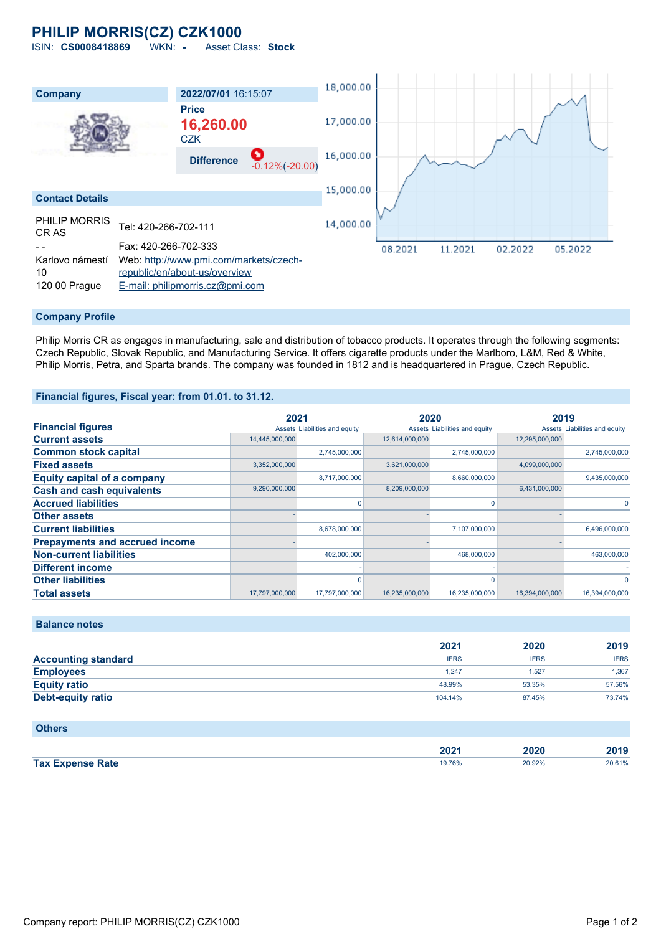# **PHILIP MORRIS(CZ) CZK1000**

ISIN: **CS0008418869** WKN: **-** Asset Class: **Stock**



#### **Company Profile**

Philip Morris CR as engages in manufacturing, sale and distribution of tobacco products. It operates through the following segments: Czech Republic, Slovak Republic, and Manufacturing Service. It offers cigarette products under the Marlboro, L&M, Red & White, Philip Morris, Petra, and Sparta brands. The company was founded in 1812 and is headquartered in Prague, Czech Republic.

#### **Financial figures, Fiscal year: from 01.01. to 31.12.**

|                                       | 2021           |                               | 2020           |                               | 2019           |                               |
|---------------------------------------|----------------|-------------------------------|----------------|-------------------------------|----------------|-------------------------------|
| <b>Financial figures</b>              |                | Assets Liabilities and equity |                | Assets Liabilities and equity |                | Assets Liabilities and equity |
| <b>Current assets</b>                 | 14,445,000,000 |                               | 12,614,000,000 |                               | 12,295,000,000 |                               |
| <b>Common stock capital</b>           |                | 2,745,000,000                 |                | 2,745,000,000                 |                | 2,745,000,000                 |
| <b>Fixed assets</b>                   | 3,352,000,000  |                               | 3,621,000,000  |                               | 4,099,000,000  |                               |
| <b>Equity capital of a company</b>    |                | 8,717,000,000                 |                | 8,660,000,000                 |                | 9,435,000,000                 |
| <b>Cash and cash equivalents</b>      | 9,290,000,000  |                               | 8,209,000,000  |                               | 6,431,000,000  |                               |
| <b>Accrued liabilities</b>            |                |                               |                | O                             |                | 0                             |
| <b>Other assets</b>                   |                |                               |                |                               |                |                               |
| <b>Current liabilities</b>            |                | 8,678,000,000                 |                | 7,107,000,000                 |                | 6,496,000,000                 |
| <b>Prepayments and accrued income</b> |                |                               |                |                               |                |                               |
| <b>Non-current liabilities</b>        |                | 402,000,000                   |                | 468,000,000                   |                | 463,000,000                   |
| <b>Different income</b>               |                |                               |                |                               |                |                               |
| <b>Other liabilities</b>              |                |                               |                | O                             |                | $\Omega$                      |
| <b>Total assets</b>                   | 17,797,000,000 | 17,797,000,000                | 16,235,000,000 | 16,235,000,000                | 16,394,000,000 | 16,394,000,000                |

## **Balance notes**

|                            | 2021        | 2020        | 2019        |
|----------------------------|-------------|-------------|-------------|
| <b>Accounting standard</b> | <b>IFRS</b> | <b>IFRS</b> | <b>IFRS</b> |
| <b>Employees</b>           | 1.247       | .527        | 1.367       |
| <b>Equity ratio</b>        | 48.99%      | 53.35%      | 57.56%      |
| Debt-equity ratio          | 104.14%     | 87.45%      | 73.74%      |

#### **Others**

|                         | החה<br>ZUZ 1 | 2020   | 2019   |
|-------------------------|--------------|--------|--------|
| <b>Tax Expense Rate</b> | 19.76%       | 20.92% | 20.61% |